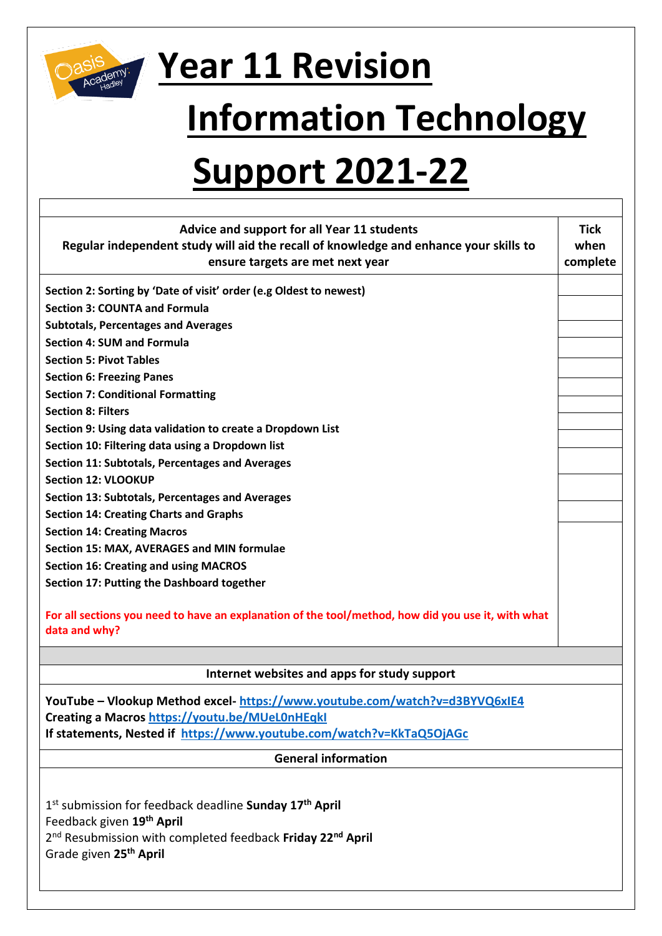

## **Year 11 Revision**

## **Information Technology**

## **Support 2021-22**

| <b>Advice and support for all Year 11 students</b>                                                 | <b>Tick</b> |  |
|----------------------------------------------------------------------------------------------------|-------------|--|
| Regular independent study will aid the recall of knowledge and enhance your skills to              | when        |  |
| ensure targets are met next year                                                                   | complete    |  |
| Section 2: Sorting by 'Date of visit' order (e.g Oldest to newest)                                 |             |  |
| <b>Section 3: COUNTA and Formula</b>                                                               |             |  |
| <b>Subtotals, Percentages and Averages</b>                                                         |             |  |
| <b>Section 4: SUM and Formula</b>                                                                  |             |  |
| <b>Section 5: Pivot Tables</b>                                                                     |             |  |
| <b>Section 6: Freezing Panes</b>                                                                   |             |  |
| <b>Section 7: Conditional Formatting</b>                                                           |             |  |
| <b>Section 8: Filters</b>                                                                          |             |  |
| Section 9: Using data validation to create a Dropdown List                                         |             |  |
| Section 10: Filtering data using a Dropdown list                                                   |             |  |
| Section 11: Subtotals, Percentages and Averages                                                    |             |  |
| <b>Section 12: VLOOKUP</b>                                                                         |             |  |
| Section 13: Subtotals, Percentages and Averages                                                    |             |  |
| <b>Section 14: Creating Charts and Graphs</b>                                                      |             |  |
| <b>Section 14: Creating Macros</b>                                                                 |             |  |
| Section 15: MAX, AVERAGES and MIN formulae                                                         |             |  |
| <b>Section 16: Creating and using MACROS</b>                                                       |             |  |
| Section 17: Putting the Dashboard together                                                         |             |  |
|                                                                                                    |             |  |
| For all sections you need to have an explanation of the tool/method, how did you use it, with what |             |  |
| data and why?                                                                                      |             |  |
|                                                                                                    |             |  |
| Internet websites and apps for study support                                                       |             |  |
| YouTube - Vlookup Method excel-https://www.youtube.com/watch?v=d3BYVQ6xIE4                         |             |  |
| Creating a Macros https://youtu.be/MUeLOnHEqkl                                                     |             |  |
| If statements, Nested if https://www.youtube.com/watch?v=KkTaQ5OjAGc                               |             |  |
|                                                                                                    |             |  |
| <b>General information</b>                                                                         |             |  |
|                                                                                                    |             |  |

1 st submission for feedback deadline **Sunday 17th April** Feedback given **19th April** 2 nd Resubmission with completed feedback **Friday 22nd April** Grade given **25th April**